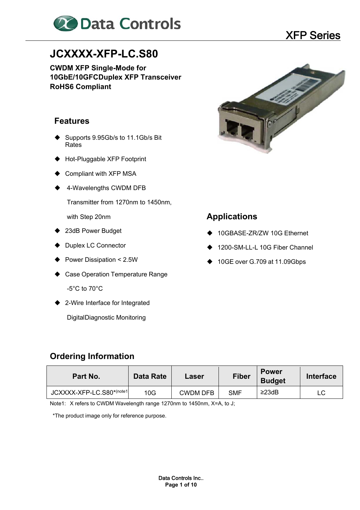

## **JCXXXX-XFP-LC.S80**

**CWDM XFP Single-Mode for 10GbE/10GFC Duplex XFP Transceiver RoHS6 Compliant** 

#### **Features**

- Supports 9.95Gb/s to 11.1Gb/s Bit Rates
- Hot-Pluggable XFP Footprint
- ♦ Compliant with XFP MSA
- ◆ 4-Wavelengths CWDM DFB

Transmitter from 1270nm to 1450nm,

with Step 20nm

- ◆ 23dB Power Budget
- ◆ Duplex LC Connector
- ◆ Power Dissipation < 2.5W
- ◆ Case Operation Temperature Range -5°C to 70°C
- ◆ 2-Wire Interface for Integrated

Digital Diagnostic Monitoring



#### **Applications**

- 10GBASE-ZR/ZW 10G Ethernet
- 1200-SM-LL-L 10G Fiber Channel
- ◆ 10GE over G.709 at 11.09Gbps

#### **Ordering Information**

| Part No.                  | Data Rate | Laser    | <b>Fiber</b> | <b>Power</b><br><b>Budget</b> | <b>Interface</b> |
|---------------------------|-----------|----------|--------------|-------------------------------|------------------|
| JCXXXX-XFP-LC.S80*(note1) | 10G       | CWDM DFB | <b>SMF</b>   | $\geq$ 23dB                   |                  |

Note1: X refers to CWDM Wavelength range 1270nm to 1450nm, X=A, to J;

\*The product image only for reference purpose.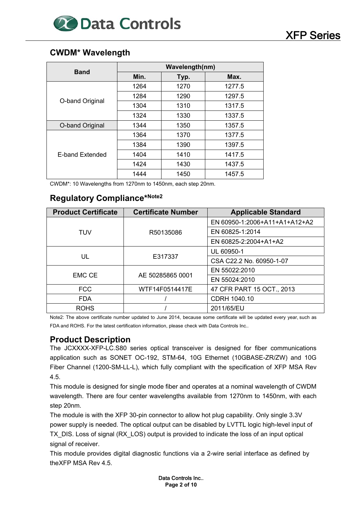

#### **CWDM\* Wavelength**

| <b>Band</b>            | Wavelength(nm) |      |        |  |  |  |
|------------------------|----------------|------|--------|--|--|--|
|                        | Min.           | Typ. | Max.   |  |  |  |
|                        | 1264           | 1270 | 1277.5 |  |  |  |
|                        | 1284           | 1290 | 1297.5 |  |  |  |
| O-band Original        | 1304           | 1310 | 1317.5 |  |  |  |
|                        | 1324           | 1330 | 1337.5 |  |  |  |
| O-band Original        | 1344           | 1350 | 1357.5 |  |  |  |
|                        | 1364           | 1370 | 1377.5 |  |  |  |
| <b>F-band Extended</b> | 1384           | 1390 | 1397.5 |  |  |  |
|                        | 1404           | 1410 | 1417.5 |  |  |  |
|                        | 1424           | 1430 | 1437.5 |  |  |  |
|                        | 1444           | 1450 | 1457.5 |  |  |  |

CWDM\*: 10 Wavelengths from 1270nm to 1450nm, each step 20nm.

#### **Regulatory Compliance\*Note2**

| <b>Product Certificate</b> | <b>Certificate Number</b> | <b>Applicable Standard</b>    |
|----------------------------|---------------------------|-------------------------------|
|                            |                           | EN 60950-1:2006+A11+A1+A12+A2 |
| <b>TUV</b>                 | R50135086                 | EN 60825-1:2014               |
|                            |                           | EN 60825-2:2004+A1+A2         |
|                            |                           | UL 60950-1                    |
| UL                         | E317337                   | CSA C22.2 No. 60950-1-07      |
|                            |                           | EN 55022:2010                 |
| <b>EMC CE</b>              | AE 50285865 0001          | EN 55024:2010                 |
| <b>FCC</b>                 | WTF14F0514417E            | 47 CFR PART 15 OCT., 2013     |
| <b>FDA</b>                 |                           | CDRH 1040.10                  |
| <b>ROHS</b>                |                           | 2011/65/EU                    |

Note2: The above certificate number updated to June 2014, because some certificate will be updated every year, such as FDA and ROHS. For the latest certification information, please check with Data Controls Inc..

#### **Product Description**

The JCXXXX-XFP-LC.S80 series optical transceiver is designed for fiber communications application such as SONET OC-192, STM-64, 10G Ethernet (10GBASE-ZR/ZW) and 10G Fiber Channel (1200-SM-LL-L), which fully compliant with the specification of XFP MSA Rev 4.5.

This module is designed for single mode fiber and operates at a nominal wavelength of CWDM wavelength. There are four center wavelengths available from 1270nm to 1450nm, with each step 20nm.

The module is with the XFP 30-pin connector to allow hot plug capability. Only single 3.3V power supply is needed. The optical output can be disabled by LVTTL logic high-level input of TX DIS. Loss of signal (RX LOS) output is provided to indicate the loss of an input optical signal of receiver.

This module provides digital diagnostic functions via a 2-wire serial interface as defined by the XFP MSA Rev 4.5.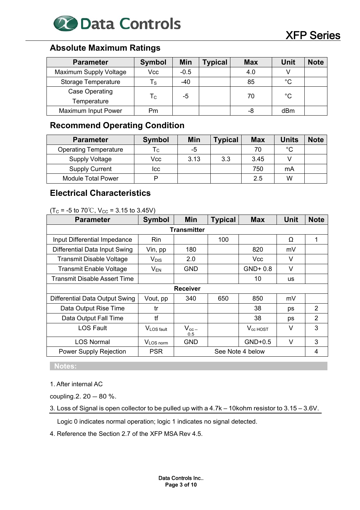

#### **Absolute Maximum Ratings**

| <b>Parameter</b>           | <b>Symbol</b> | Min    | <b>Typical</b> | <b>Max</b> | Unit        | <b>Note</b> |
|----------------------------|---------------|--------|----------------|------------|-------------|-------------|
| Maximum Supply Voltage     | Vcc           | $-0.5$ |                | 4.0        |             |             |
| <b>Storage Temperature</b> | Τs            | $-40$  |                | 85         | $^{\circ}C$ |             |
| Case Operating             |               | -5     |                | 70         | °C          |             |
| Temperature                | Тc            |        |                |            |             |             |
| <b>Maximum Input Power</b> | Pm            |        |                | -8         | dBm         |             |

#### **Recommend Operating Condition**

| <b>Parameter</b>             | <b>Symbol</b> | <b>Min</b> | <b>Typical</b> | <b>Max</b> | <b>Units</b> | <b>Note</b> |
|------------------------------|---------------|------------|----------------|------------|--------------|-------------|
| <b>Operating Temperature</b> | ۱c.           | -5         |                | 70         | °С           |             |
| <b>Supply Voltage</b>        | Vcc           | 3.13       | 3.3            | 3.45       |              |             |
| <b>Supply Current</b>        | Icc           |            |                | 750        | mA           |             |
| Module Total Power           |               |            |                | 2.5        | W            |             |

#### **Electrical Characteristics**

|--|

| <b>Min</b><br><b>Typical</b><br><b>Symbol</b><br><b>Parameter</b> |                       | <b>Max</b>         | <b>Unit</b> | <b>Note</b>          |           |                |
|-------------------------------------------------------------------|-----------------------|--------------------|-------------|----------------------|-----------|----------------|
|                                                                   |                       | <b>Transmitter</b> |             |                      |           |                |
| Input Differential Impedance                                      | Rin                   |                    | 100         |                      | Ω         | 1              |
| Differential Data Input Swing                                     | Vin, pp               | 180                |             | 820                  | mV        |                |
| <b>Transmit Disable Voltage</b>                                   | V <sub>DIS</sub>      | 2.0                |             | <b>Vcc</b>           | V         |                |
| <b>Transmit Enable Voltage</b>                                    | $V_{EN}$              | GND                |             | $GND + 0.8$          | $\vee$    |                |
| Transmit Disable Assert Time                                      |                       |                    |             | 10                   | <b>us</b> |                |
|                                                                   |                       | <b>Receiver</b>    |             |                      |           |                |
| Differential Data Output Swing                                    | Vout, pp              | 340                | 650         | 850                  | mV        |                |
| Data Output Rise Time                                             | tr                    |                    |             | 38                   | ps        | 2              |
| Data Output Fall Time                                             | tf                    |                    |             | 38                   | ps        | $\overline{2}$ |
| <b>LOS Fault</b>                                                  | VLOS fault            | $V_{cc}$<br>0.5    |             | V <sub>cc</sub> HOST | V         | 3              |
| <b>LOS Normal</b>                                                 | V <sub>LOS</sub> norm | <b>GND</b>         |             | $GND+0.5$            | $\vee$    | 3              |
| <b>Power Supply Rejection</b>                                     | <b>PSR</b>            |                    |             | See Note 4 below     |           | 4              |

 **Notes:** 

1. After internal AC

coupling.  $2.20 - 80$  %.

3. Loss of Signal is open collector to be pulled up with a 4.7k – 10kohm resistor to 3.15 – 3.6V.

Logic 0 indicates normal operation; logic 1 indicates no signal detected.

4. Reference the Section 2.7 of the XFP MSA Rev 4.5.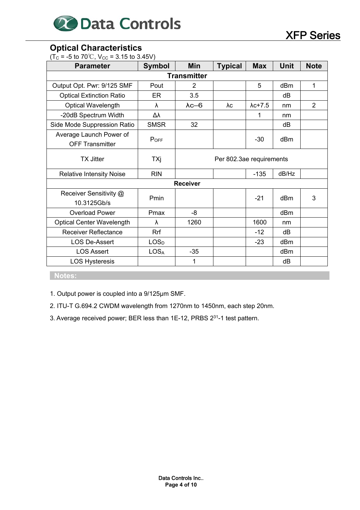

#### **Optical Characteristics**

 $(T<sub>C</sub> = -5$  to 70<sup>°</sup>C, V<sub>CC</sub> = 3.15 to 3.45V)

| <b>Parameter</b>                                  | <b>Symbol</b>    | <b>Min</b>               | <b>Typical</b> | <b>Max</b>      | Unit  | <b>Note</b>    |
|---------------------------------------------------|------------------|--------------------------|----------------|-----------------|-------|----------------|
|                                                   |                  | <b>Transmitter</b>       |                |                 |       |                |
| Output Opt. Pwr: 9/125 SMF                        | Pout             | $\overline{2}$           |                | 5               | dBm   | 1              |
| <b>Optical Extinction Ratio</b>                   | ER               | 3.5                      |                |                 | dB    |                |
| <b>Optical Wavelength</b>                         | λ                | $\lambda$ c-6            | λc             | $\lambda$ c+7.5 | nm    | $\overline{2}$ |
| -20dB Spectrum Width                              | Δλ               |                          |                |                 | nm    |                |
| Side Mode Suppression Ratio                       | <b>SMSR</b>      | 32                       |                |                 | dB    |                |
| Average Launch Power of<br><b>OFF Transmitter</b> | $P_{OFF}$        |                          |                | $-30$           | dBm   |                |
| TX Jitter                                         | TXj              | Per 802.3ae requirements |                |                 |       |                |
| <b>Relative Intensity Noise</b>                   | <b>RIN</b>       |                          |                | $-135$          | dB/Hz |                |
|                                                   |                  | <b>Receiver</b>          |                |                 |       |                |
| Receiver Sensitivity @<br>10.3125Gb/s             | Pmin             |                          |                | $-21$           | dBm   | 3              |
| <b>Overload Power</b>                             | Pmax             | $-8$                     |                |                 | dBm   |                |
| <b>Optical Center Wavelength</b>                  | λ                | 1260                     |                | 1600            | nm    |                |
| <b>Receiver Reflectance</b>                       | Rrf              |                          |                | $-12$           | dB    |                |
| <b>LOS De-Assert</b>                              | LOS <sub>D</sub> | $-23$<br>dBm             |                |                 |       |                |
| <b>LOS Assert</b>                                 | LOS <sub>A</sub> | $-35$                    |                |                 | dBm   |                |
| <b>LOS Hysteresis</b>                             |                  | 1                        |                |                 | dB    |                |

 **Notes:** 

1. Output power is coupled into a 9/125μm SMF.

2. ITU-T G.694.2 CWDM wavelength from 1270nm to 1450nm, each step 20nm.

3. Average received power; BER less than 1E-12, PRBS 231-1 test pattern.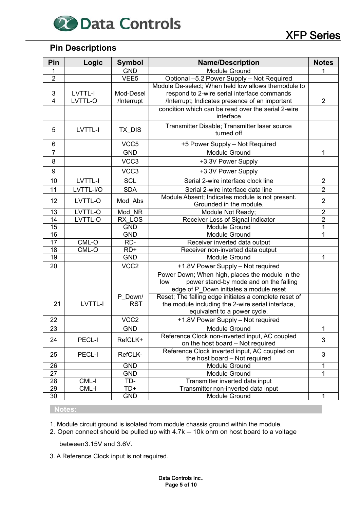# **20 Data Controls** XFP Series

#### **Pin Descriptions**

| Pin             | Logic         | <b>Symbol</b>    | <b>Name/Description</b>                                           |                |
|-----------------|---------------|------------------|-------------------------------------------------------------------|----------------|
| 1               |               | <b>GND</b>       | Module Ground                                                     |                |
| $\overline{2}$  |               | VEE <sub>5</sub> | Optional -5.2 Power Supply - Not Required                         |                |
|                 |               |                  | Module De-select; When held low allows themodule to               |                |
| 3               | LVTTL-I       | Mod-Desel        | respond to 2-wire serial interface commands                       |                |
| $\overline{4}$  | LVTTL-O       | /Interrupt       | /Interrupt; Indicates presence of an important                    | $\overline{2}$ |
|                 |               |                  | condition which can be read over the serial 2-wire<br>interface   |                |
|                 |               |                  |                                                                   |                |
| 5               | LVTTL-I       | TX DIS           | Transmitter Disable; Transmitter laser source<br>turned off       |                |
| 6               |               | VCC <sub>5</sub> | +5 Power Supply - Not Required                                    |                |
|                 |               |                  |                                                                   |                |
| $\overline{7}$  |               | <b>GND</b>       | Module Ground                                                     | 1              |
| 8               |               | VCC3             | +3.3V Power Supply                                                |                |
| 9               |               | VCC3             | +3.3V Power Supply                                                |                |
| 10              | LVTTL-I       | <b>SCL</b>       | Serial 2-wire interface clock line                                | $\overline{2}$ |
| 11              | LVTTL-I/O     | <b>SDA</b>       | Serial 2-wire interface data line                                 | $\overline{2}$ |
| 12              | LVTTL-O       | Mod_Abs          | Module Absent; Indicates module is not present.                   | $\overline{2}$ |
|                 |               |                  | Grounded in the module.                                           |                |
| 13              | LVTTL-O       | Mod NR           | Module Not Ready;                                                 | $\overline{2}$ |
| 14              | LVTTL-O       | RX LOS           | Receiver Loss of Signal indicator                                 | $\overline{2}$ |
| $\overline{15}$ |               | <b>GND</b>       | <b>Module Ground</b>                                              | 1              |
| 16              |               | <b>GND</b>       | Module Ground                                                     | 1              |
| 17              | $CML-O$       | RD-              | Receiver inverted data output                                     |                |
| $\overline{18}$ | CML-O         | $RD+$            | Receiver non-inverted data output                                 |                |
| 19              |               | <b>GND</b>       | <b>Module Ground</b>                                              | 1              |
| 20              |               | VCC <sub>2</sub> | +1.8V Power Supply - Not required                                 |                |
|                 |               |                  | Power Down; When high, places the module in the                   |                |
|                 |               |                  | power stand-by mode and on the falling<br>low                     |                |
|                 |               |                  | edge of P_Down initiates a module reset                           |                |
|                 |               | P Down/          | Reset; The falling edge initiates a complete reset of             |                |
| 21              | LVTTL-I       | <b>RST</b>       | the module including the 2-wire serial interface,                 |                |
| 22              |               | VCC <sub>2</sub> | equivalent to a power cycle.<br>+1.8V Power Supply - Not required |                |
| $\overline{23}$ |               | <b>GND</b>       | Module Ground                                                     | 1              |
|                 |               |                  | Reference Clock non-inverted input, AC coupled                    |                |
| 24              | <b>PECL-I</b> | RefCLK+          | on the host board - Not required                                  | 3              |
|                 |               |                  | Reference Clock inverted input, AC coupled on                     |                |
| 25              | PECL-I        | RefCLK-          | the host board - Not required                                     | 3              |
| 26              |               | <b>GND</b>       | Module Ground                                                     |                |
| 27              |               | <b>GND</b>       | Module Ground                                                     | 1              |
| 28              | CML-I         | TD-              | Transmitter inverted data input                                   |                |
| 29              | CML-I         | TD+              | Transmitter non-inverted data input                               |                |
| 30              |               | <b>GND</b>       | Module Ground                                                     | 1              |

#### **Notes:**

1. Module circuit ground is isolated from module chassis ground within the module.

2. Open connect should be pulled up with 4.7k – 10k ohm on host board to a voltage

between 3.15V and 3.6V.

3. A Reference Clock input is not required.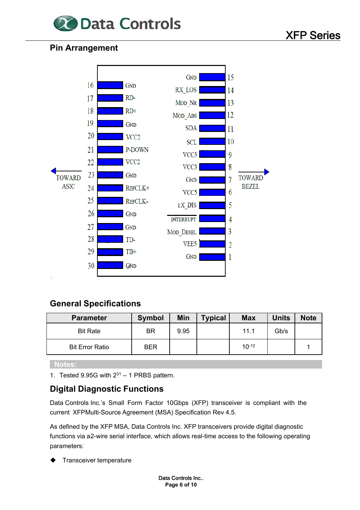

#### **Pin Arrangement**



#### **General Specifications**

| <b>Parameter</b>       | <b>Symbol</b> | Min  | <b>Typical</b> | <b>Max</b> | <b>Units</b> | <b>Note</b> |
|------------------------|---------------|------|----------------|------------|--------------|-------------|
| <b>Bit Rate</b>        | BR            | 9.95 |                | 11.1       | Gb/s         |             |
| <b>Bit Error Ratio</b> | <b>BER</b>    |      |                | $10-12$    |              |             |

 **Notes:** 

1. Tested 9.95G with  $2^{31} - 1$  PRBS pattern.

#### **Digital Diagnostic Functions**

Data Controls Inc.'s Small Form Factor 10Gbps (XFP) transceiver is compliant with the current XFP Multi-Source Agreement (MSA) Specification Rev 4.5.

As defined by the XFP MSA, Data Controls Inc. XFP transceivers provide digital diagnostic functions via a2-wire serial interface, which allows real-time access to the following operating parameters:

Transceiver temperature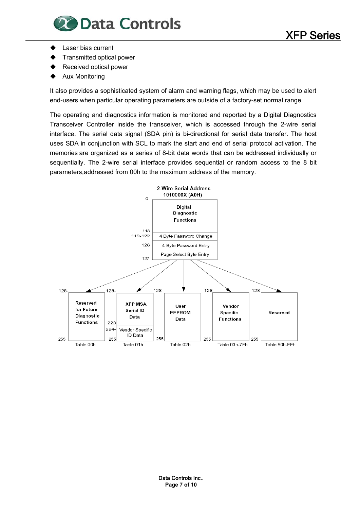

- Laser bias current
- Transmitted optical power
- Received optical power
- Aux Monitoring

It also provides a sophisticated system of alarm and warning flags, which may be used to alert end-users when particular operating parameters are outside of a factory-set normal range.

The operating and diagnostics information is monitored and reported by a Digital Diagnostics Transceiver Controller inside the transceiver, which is accessed through the 2-wire serial interface. The serial data signal (SDA pin) is bi-directional for serial data transfer. The host uses SDA in conjunction with SCL to mark the start and end of serial protocol activation. The memories are organized as a series of 8-bit data words that can be addressed individually or sequentially. The 2-wire serial interface provides sequential or random access to the 8 bit parameters, addressed from 00h to the maximum address of the memory.

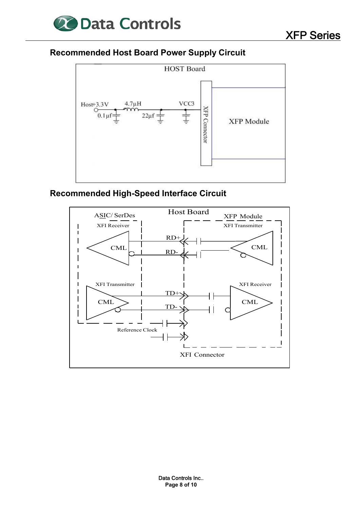

#### **Recommended Host Board Power Supply Circuit**



### **Recommended High-Speed Interface Circuit**

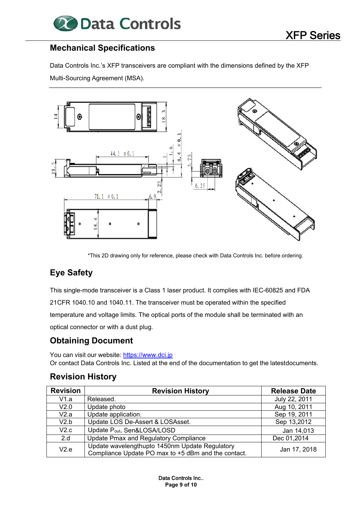

#### **Mechanical Specifications**

Data Controls Inc.'s XFP transceivers are compliant with the dimensions defined by the XFP Multi-Sourcing Agreement (MSA).



\*This 2D drawing only for reference, please check with Data Controls Inc. before ordering.

#### **Eye Safety**

This single-mode transceiver is a Class 1 laser product. It complies with IEC-60825 and FDA 21 CFR 1040.10 and 1040.11. The transceiver must be operated within the specified temperature and voltage limits. The optical ports of the module shall be terminated with an

optical connector or with a dust plug.

#### **Obtaining Document**

You can visit our website: https://www.dci.jp Or contact Data Controls Inc. Listed at the end of the documentation to get the latest documents.

#### **Revision History**

| <b>Revision</b>  | <b>Revision History</b>                                                                               | <b>Release Date</b> |
|------------------|-------------------------------------------------------------------------------------------------------|---------------------|
| V1.a             | Released.                                                                                             | July 22, 2011       |
| V2.0             | Update photo                                                                                          | Aug 10, 2011        |
| V2.a             | Update application.                                                                                   | Sep 19, 2011        |
| V2.b             | Update LOS De-Assert & LOSAsset.                                                                      | Sep 13,2012         |
| V <sub>2.c</sub> | Update P <sub>out</sub> , Sen&LOSA/LOSD                                                               | Jan 14,013          |
| 2.d              | Update Pmax and Regulatory Compliance                                                                 | Dec 01,2014         |
| V2.e             | Update wavelengthupto 1450nm Update Regulatory<br>Compliance Update PO max to +5 dBm and the contact. | Jan 17, 2018        |